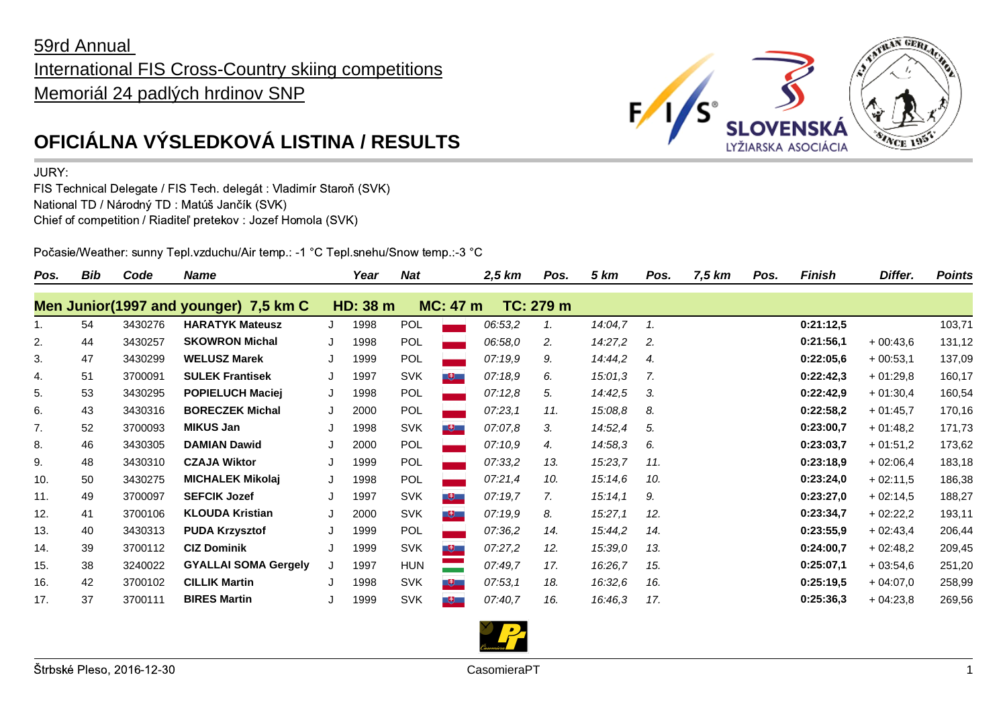## 59rd Annual International FIS Cross-Country skiing competitions Memoriál 24 padlých hrdinov SNP



JURY:

FIS Technical Delegate / FIS Tech. delegát : Vladimír Staroň (SVK) National TD / Národný TD : Matúš Jančík (SVK) Chief of competition / Riaditeľ pretekov : Jozef Homola (SVK)

Počasie/Weather: sunny Tepl.vzduchu/Air temp.: -1 °C Tepl.snehu/Snow temp.:-3 °C

| Pos. | Bib | Code    | Name                                  |   | Year     | <b>Nat</b> |                 | 2,5 km  | Pos.      | 5 km    | Pos. | 7,5 km | Pos. | <b>Finish</b> | Differ.    | <b>Points</b> |
|------|-----|---------|---------------------------------------|---|----------|------------|-----------------|---------|-----------|---------|------|--------|------|---------------|------------|---------------|
|      |     |         | Men Junior(1997 and younger) 7,5 km C |   | HD: 38 m |            | <b>MC: 47 m</b> |         | TC: 279 m |         |      |        |      |               |            |               |
| 1.   | 54  | 3430276 | <b>HARATYK Mateusz</b>                |   | 1998     | <b>POL</b> |                 | 06:53,2 | 1.        | 14:04,7 | 1.   |        |      | 0:21:12,5     |            | 103,71        |
| 2.   | 44  | 3430257 | <b>SKOWRON Michal</b>                 |   | 1998     | <b>POL</b> |                 | 06:58,0 | 2.        | 14:27,2 | 2.   |        |      | 0:21:56,1     | $+00:43.6$ | 131,12        |
| 3.   | 47  | 3430299 | <b>WELUSZ Marek</b>                   |   | 1999     | POL        |                 | 07:19,9 | 9.        | 14:44,2 | 4.   |        |      | 0:22:05,6     | $+00:53.1$ | 137,09        |
| 4.   | 51  | 3700091 | <b>SULEK Frantisek</b>                |   | 1997     | <b>SVK</b> | <b>E</b>        | 07:18,9 | 6.        | 15:01,3 | 7.   |        |      | 0:22:42,3     | $+01:29.8$ | 160,17        |
| 5.   | 53  | 3430295 | <b>POPIELUCH Maciej</b>               | J | 1998     | POL        |                 | 07:12,8 | 5.        | 14:42,5 | 3.   |        |      | 0:22:42,9     | $+01:30,4$ | 160,54        |
| 6.   | 43  | 3430316 | <b>BORECZEK Michal</b>                | J | 2000     | POL        |                 | 07:23,1 | 11.       | 15:08,8 | 8.   |        |      | 0:22:58,2     | $+01:45.7$ | 170,16        |
| 7.   | 52  | 3700093 | <b>MIKUS Jan</b>                      |   | 1998     | <b>SVK</b> | - 史上            | 07:07,8 | 3.        | 14:52,4 | 5.   |        |      | 0:23:00.7     | $+01:48.2$ | 171,73        |
| 8.   | 46  | 3430305 | <b>DAMIAN Dawid</b>                   |   | 2000     | <b>POL</b> |                 | 07:10,9 | 4.        | 14:58,3 | 6.   |        |      | 0:23:03,7     | $+01:51,2$ | 173,62        |
| 9.   | 48  | 3430310 | <b>CZAJA Wiktor</b>                   |   | 1999     | <b>POL</b> |                 | 07:33,2 | 13.       | 15:23,7 | 11.  |        |      | 0:23:18,9     | $+02:06,4$ | 183,18        |
| 10.  | 50  | 3430275 | <b>MICHALEK Mikolaj</b>               | J | 1998     | POL        |                 | 07:21,4 | 10.       | 15:14,6 | 10.  |        |      | 0:23:24,0     | $+02:11,5$ | 186,38        |
| 11.  | 49  | 3700097 | <b>SEFCIK Jozef</b>                   |   | 1997     | <b>SVK</b> | <u>ugu</u>      | 07:19,7 | 7.        | 15:14,1 | 9.   |        |      | 0:23:27,0     | $+02:14,5$ | 188,27        |
| 12.  | 41  | 3700106 | <b>KLOUDA Kristian</b>                |   | 2000     | <b>SVK</b> | - 6             | 07:19,9 | 8.        | 15:27,1 | 12.  |        |      | 0:23:34,7     | $+02:22,2$ | 193,11        |
| 13.  | 40  | 3430313 | <b>PUDA Krzysztof</b>                 |   | 1999     | POL        |                 | 07:36,2 | 14.       | 15:44,2 | 14.  |        |      | 0:23:55,9     | $+02:43,4$ | 206,44        |
| 14.  | 39  | 3700112 | <b>CIZ Dominik</b>                    | J | 1999     | <b>SVK</b> | $+$             | 07:27,2 | 12.       | 15:39,0 | 13.  |        |      | 0:24:00,7     | $+02:48,2$ | 209,45        |
| 15.  | 38  | 3240022 | <b>GYALLAI SOMA Gergely</b>           |   | 1997     | <b>HUN</b> |                 | 07:49,7 | 17.       | 16:26,7 | 15.  |        |      | 0:25:07,1     | $+03:54.6$ | 251,20        |
| 16.  | 42  | 3700102 | <b>CILLIK Martin</b>                  |   | 1998     | <b>SVK</b> | - 甲二            | 07:53,1 | 18.       | 16:32,6 | 16.  |        |      | 0:25:19,5     | $+04:07.0$ | 258,99        |
| 17.  | 37  | 3700111 | <b>BIRES Martin</b>                   |   | 1999     | <b>SVK</b> | - 9             | 07:40.7 | 16.       | 16:46,3 | 17.  |        |      | 0:25:36,3     | $+04:23,8$ | 269,56        |